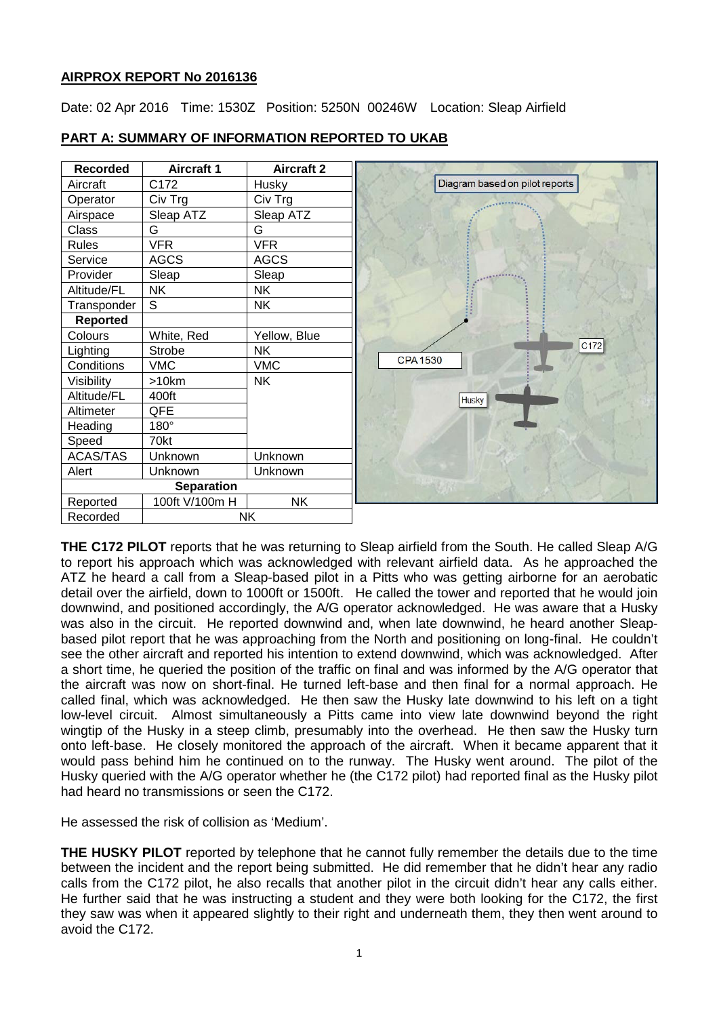# **AIRPROX REPORT No 2016136**

Date: 02 Apr 2016 Time: 1530Z Position: 5250N 00246W Location: Sleap Airfield



# **PART A: SUMMARY OF INFORMATION REPORTED TO UKAB**

**THE C172 PILOT** reports that he was returning to Sleap airfield from the South. He called Sleap A/G to report his approach which was acknowledged with relevant airfield data. As he approached the ATZ he heard a call from a Sleap-based pilot in a Pitts who was getting airborne for an aerobatic detail over the airfield, down to 1000ft or 1500ft. He called the tower and reported that he would join downwind, and positioned accordingly, the A/G operator acknowledged. He was aware that a Husky was also in the circuit. He reported downwind and, when late downwind, he heard another Sleapbased pilot report that he was approaching from the North and positioning on long-final. He couldn't see the other aircraft and reported his intention to extend downwind, which was acknowledged. After a short time, he queried the position of the traffic on final and was informed by the A/G operator that the aircraft was now on short-final. He turned left-base and then final for a normal approach. He called final, which was acknowledged. He then saw the Husky late downwind to his left on a tight low-level circuit. Almost simultaneously a Pitts came into view late downwind beyond the right wingtip of the Husky in a steep climb, presumably into the overhead. He then saw the Husky turn onto left-base. He closely monitored the approach of the aircraft. When it became apparent that it would pass behind him he continued on to the runway. The Husky went around. The pilot of the Husky queried with the A/G operator whether he (the C172 pilot) had reported final as the Husky pilot had heard no transmissions or seen the C172.

He assessed the risk of collision as 'Medium'.

**THE HUSKY PILOT** reported by telephone that he cannot fully remember the details due to the time between the incident and the report being submitted. He did remember that he didn't hear any radio calls from the C172 pilot, he also recalls that another pilot in the circuit didn't hear any calls either. He further said that he was instructing a student and they were both looking for the C172, the first they saw was when it appeared slightly to their right and underneath them, they then went around to avoid the C172.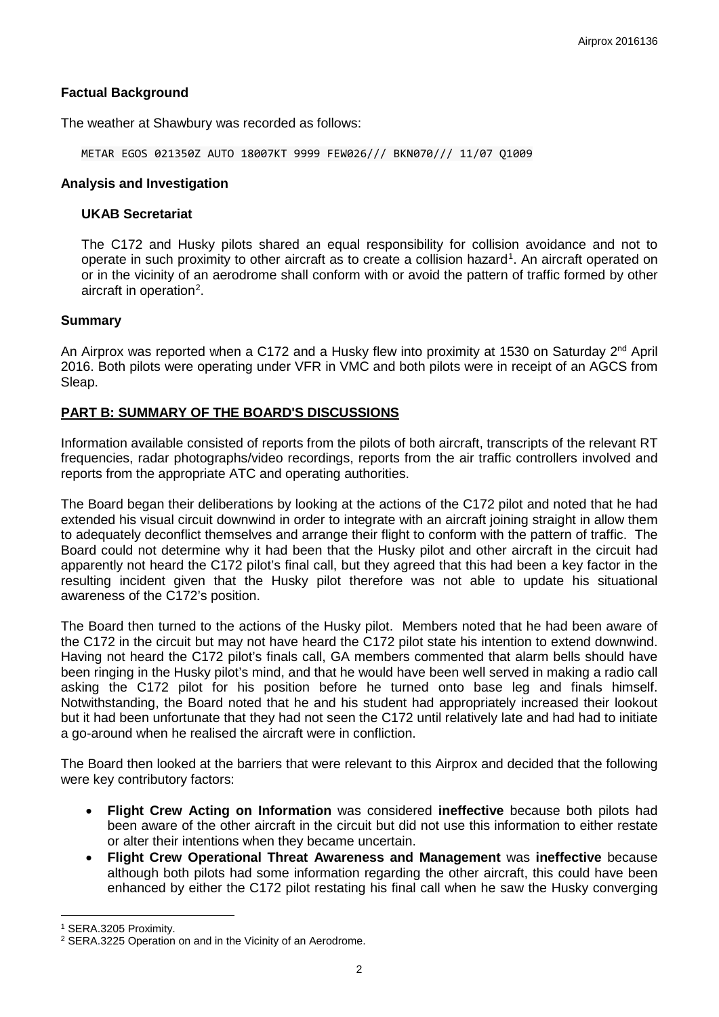### **Factual Background**

The weather at Shawbury was recorded as follows:

METAR EGOS 021350Z AUTO 18007KT 9999 FEW026/// BKN070/// 11/07 Q1009

#### **Analysis and Investigation**

### **UKAB Secretariat**

The C172 and Husky pilots shared an equal responsibility for collision avoidance and not to operate in such proximity to other aircraft as to create a collision hazard<sup>[1](#page-1-0)</sup>. An aircraft operated on or in the vicinity of an aerodrome shall conform with or avoid the pattern of traffic formed by other aircraft in operation<sup>[2](#page-1-1)</sup>.

#### **Summary**

An Airprox was reported when a C172 and a Husky flew into proximity at 1530 on Saturday 2<sup>nd</sup> April 2016. Both pilots were operating under VFR in VMC and both pilots were in receipt of an AGCS from Sleap.

### **PART B: SUMMARY OF THE BOARD'S DISCUSSIONS**

Information available consisted of reports from the pilots of both aircraft, transcripts of the relevant RT frequencies, radar photographs/video recordings, reports from the air traffic controllers involved and reports from the appropriate ATC and operating authorities.

The Board began their deliberations by looking at the actions of the C172 pilot and noted that he had extended his visual circuit downwind in order to integrate with an aircraft joining straight in allow them to adequately deconflict themselves and arrange their flight to conform with the pattern of traffic. The Board could not determine why it had been that the Husky pilot and other aircraft in the circuit had apparently not heard the C172 pilot's final call, but they agreed that this had been a key factor in the resulting incident given that the Husky pilot therefore was not able to update his situational awareness of the C172's position.

The Board then turned to the actions of the Husky pilot. Members noted that he had been aware of the C172 in the circuit but may not have heard the C172 pilot state his intention to extend downwind. Having not heard the C172 pilot's finals call, GA members commented that alarm bells should have been ringing in the Husky pilot's mind, and that he would have been well served in making a radio call asking the C172 pilot for his position before he turned onto base leg and finals himself. Notwithstanding, the Board noted that he and his student had appropriately increased their lookout but it had been unfortunate that they had not seen the C172 until relatively late and had had to initiate a go-around when he realised the aircraft were in confliction.

The Board then looked at the barriers that were relevant to this Airprox and decided that the following were key contributory factors:

- **Flight Crew Acting on Information** was considered **ineffective** because both pilots had been aware of the other aircraft in the circuit but did not use this information to either restate or alter their intentions when they became uncertain.
- **Flight Crew Operational Threat Awareness and Management** was **ineffective** because although both pilots had some information regarding the other aircraft, this could have been enhanced by either the C172 pilot restating his final call when he saw the Husky converging

l

<span id="page-1-0"></span><sup>1</sup> SERA.3205 Proximity.

<span id="page-1-1"></span><sup>2</sup> SERA.3225 Operation on and in the Vicinity of an Aerodrome.